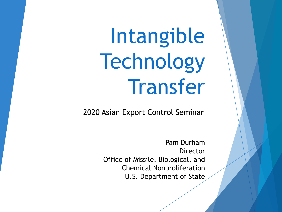Intangible **Technology** Transfer

2020 Asian Export Control Seminar

Pam Durham Director Office of Missile, Biological, and Chemical Nonproliferation U.S. Department of State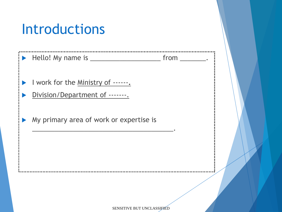### Introductions

| I work for the Ministry of ------<br>Division/Department of ------- |  |
|---------------------------------------------------------------------|--|
| My primary area of work or expertise is                             |  |
|                                                                     |  |
|                                                                     |  |
| SENSITIVE BUT UNCLASSIFIED                                          |  |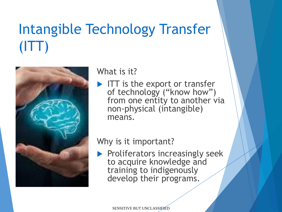# Intangible Technology Transfer (ITT)



#### What is it?

ITT is the export or transfer of technology ("know how") from one entity to another via non-physical (intangible) means.

### Why is it important?

 $\blacktriangleright$  Proliferators increasingly seek to acquire knowledge and training to indigenously develop their programs.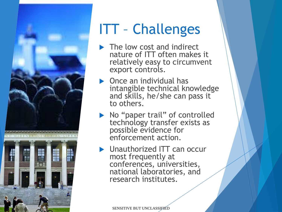

## ITT – Challenges

- The low cost and indirect nature of ITT often makes it relatively easy to circumvent export controls.
- Once an individual has intangible technical knowledge and skills, he/she can pass it to others.
- No "paper trail" of controlled technology transfer exists as possible evidence for enforcement action.
- **D** Unauthorized ITT can occur most frequently at conferences, universities, national laboratories, and research institutes.

SENSITIVE BUT UNCLASSIFIED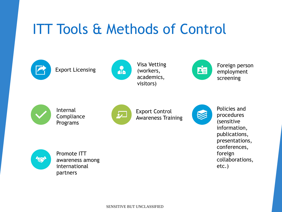### ITT Tools & Methods of Control



Export Licensing



Visa Vetting (workers, academics, visitors)



Foreign person employment screening



Internal **Compliance** Programs



Export Control Awareness Training



Policies and procedures (sensitive information, publications, presentations, conferences, foreign collaborations, etc.)



Promote ITT awareness among international partners

SENSITIVE BUT UNCLASSIFIED SENSITIVE BUT UNCLASSIFIED